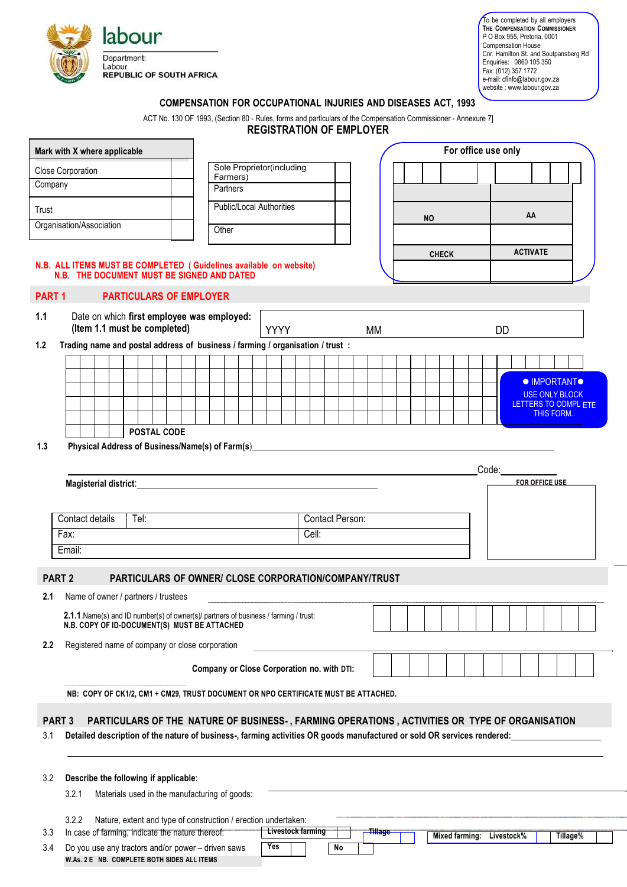

**W.As. 2 E NB. COMPLETE BOTH SIDES ALL ITEMS**

To be completed by all employers **THE COMPENSATION COMMISSIONER**  P O Box 955, Pretoria, 0001 Compensation House Cnr. Hamilton St. and Soutpansberg Rd Enquiries: 0860 105 350 Fax: (012) 357 1772 e-mail: cfinfo@labour.gov.za website : www.labour.gov.za

## **COMPENSATION FOR OCCUPATIONAL INJURIES AND DISEASES ACT, 1993**

ACT No. 130 OF 1993, (Section 80 - Rules, forms and particulars of the Compensation Commissioner - Annexure 7]

**REGISTRATION OF EMPLOYER**

| Mark with X where applicable |        |  |                       |  |                                                                                |                                                                                                                                                                                                                                                                                                                                                                                                                                                                                                                                                                                                                                                                                             |                           |  |  |  |             |                          |  |  |    |           |                    |  |  |  | For office use only |                       |       |            |                       |  |                                              |                      |
|------------------------------|--------|--|-----------------------|--|--------------------------------------------------------------------------------|---------------------------------------------------------------------------------------------------------------------------------------------------------------------------------------------------------------------------------------------------------------------------------------------------------------------------------------------------------------------------------------------------------------------------------------------------------------------------------------------------------------------------------------------------------------------------------------------------------------------------------------------------------------------------------------------|---------------------------|--|--|--|-------------|--------------------------|--|--|----|-----------|--------------------|--|--|--|---------------------|-----------------------|-------|------------|-----------------------|--|----------------------------------------------|----------------------|
| <b>Close Corporation</b>     |        |  |                       |  |                                                                                |                                                                                                                                                                                                                                                                                                                                                                                                                                                                                                                                                                                                                                                                                             | Sole Proprietor(including |  |  |  |             |                          |  |  |    |           |                    |  |  |  |                     |                       |       |            |                       |  |                                              |                      |
| Company                      |        |  |                       |  |                                                                                |                                                                                                                                                                                                                                                                                                                                                                                                                                                                                                                                                                                                                                                                                             | Farmers)<br>Partners      |  |  |  |             |                          |  |  |    |           |                    |  |  |  |                     |                       |       |            |                       |  |                                              |                      |
| Trust                        |        |  |                       |  |                                                                                |                                                                                                                                                                                                                                                                                                                                                                                                                                                                                                                                                                                                                                                                                             | Public/Local Authorities  |  |  |  |             |                          |  |  |    | <b>NO</b> |                    |  |  |  |                     |                       | AA    |            |                       |  |                                              |                      |
| Organisation/Association     |        |  |                       |  |                                                                                | Other                                                                                                                                                                                                                                                                                                                                                                                                                                                                                                                                                                                                                                                                                       |                           |  |  |  |             |                          |  |  |    |           |                    |  |  |  |                     |                       |       |            |                       |  |                                              |                      |
|                              |        |  |                       |  | N.B. ALL ITEMS MUST BE COMPLETED (Guidelines available on website)             |                                                                                                                                                                                                                                                                                                                                                                                                                                                                                                                                                                                                                                                                                             |                           |  |  |  |             |                          |  |  |    |           |                    |  |  |  | <b>CHECK</b>        |                       |       |            | <b>ACTIVATE</b>       |  |                                              |                      |
|                              |        |  |                       |  | N.B. THE DOCUMENT MUST BE SIGNED AND DATED                                     |                                                                                                                                                                                                                                                                                                                                                                                                                                                                                                                                                                                                                                                                                             |                           |  |  |  |             |                          |  |  |    |           |                    |  |  |  |                     |                       |       |            |                       |  |                                              |                      |
| PART <sub>1</sub>            |        |  |                       |  | <b>PARTICULARS OF EMPLOYER</b>                                                 |                                                                                                                                                                                                                                                                                                                                                                                                                                                                                                                                                                                                                                                                                             |                           |  |  |  |             |                          |  |  |    |           |                    |  |  |  |                     |                       |       |            |                       |  |                                              |                      |
| 1.1                          |        |  |                       |  | Date on which first employee was employed:<br>(Item 1.1 must be completed)     |                                                                                                                                                                                                                                                                                                                                                                                                                                                                                                                                                                                                                                                                                             |                           |  |  |  |             |                          |  |  |    |           |                    |  |  |  |                     |                       |       |            |                       |  |                                              |                      |
| 1.2                          |        |  |                       |  | Trading name and postal address of business / farming / organisation / trust : |                                                                                                                                                                                                                                                                                                                                                                                                                                                                                                                                                                                                                                                                                             |                           |  |  |  | <b>YYYY</b> |                          |  |  |    | MM        |                    |  |  |  |                     |                       |       | DD         |                       |  |                                              |                      |
|                              |        |  |                       |  |                                                                                |                                                                                                                                                                                                                                                                                                                                                                                                                                                                                                                                                                                                                                                                                             |                           |  |  |  |             |                          |  |  |    |           |                    |  |  |  |                     |                       |       |            |                       |  |                                              |                      |
|                              |        |  |                       |  |                                                                                |                                                                                                                                                                                                                                                                                                                                                                                                                                                                                                                                                                                                                                                                                             |                           |  |  |  |             |                          |  |  |    |           |                    |  |  |  |                     |                       |       |            |                       |  |                                              |                      |
|                              |        |  |                       |  |                                                                                |                                                                                                                                                                                                                                                                                                                                                                                                                                                                                                                                                                                                                                                                                             |                           |  |  |  |             |                          |  |  |    |           |                    |  |  |  |                     |                       |       |            |                       |  | <b>• IMPORTANT•</b><br><b>USE ONLY BLOCK</b> |                      |
|                              |        |  |                       |  |                                                                                |                                                                                                                                                                                                                                                                                                                                                                                                                                                                                                                                                                                                                                                                                             |                           |  |  |  |             |                          |  |  |    |           |                    |  |  |  |                     |                       |       |            |                       |  |                                              | LETTERS TO COMPL ETE |
|                              |        |  |                       |  |                                                                                |                                                                                                                                                                                                                                                                                                                                                                                                                                                                                                                                                                                                                                                                                             |                           |  |  |  |             |                          |  |  |    |           |                    |  |  |  |                     |                       |       |            |                       |  | THIS FORM.                                   |                      |
|                              |        |  |                       |  | <b>POSTAL CODE</b>                                                             |                                                                                                                                                                                                                                                                                                                                                                                                                                                                                                                                                                                                                                                                                             |                           |  |  |  |             |                          |  |  |    |           |                    |  |  |  |                     |                       |       |            |                       |  |                                              |                      |
| 1.3                          |        |  |                       |  | Physical Address of Business/Name(s) of Farm(s)                                |                                                                                                                                                                                                                                                                                                                                                                                                                                                                                                                                                                                                                                                                                             |                           |  |  |  |             |                          |  |  |    |           |                    |  |  |  |                     |                       |       |            |                       |  |                                              |                      |
|                              |        |  |                       |  |                                                                                |                                                                                                                                                                                                                                                                                                                                                                                                                                                                                                                                                                                                                                                                                             |                           |  |  |  |             |                          |  |  |    |           |                    |  |  |  |                     |                       | Code: |            |                       |  |                                              |                      |
|                              |        |  | Magisterial district: |  |                                                                                |                                                                                                                                                                                                                                                                                                                                                                                                                                                                                                                                                                                                                                                                                             |                           |  |  |  |             |                          |  |  |    |           |                    |  |  |  |                     |                       |       |            | <b>FOR OFFICE USE</b> |  |                                              |                      |
|                              |        |  |                       |  |                                                                                |                                                                                                                                                                                                                                                                                                                                                                                                                                                                                                                                                                                                                                                                                             |                           |  |  |  |             |                          |  |  |    |           |                    |  |  |  |                     |                       |       |            |                       |  |                                              |                      |
|                              |        |  | Contact details       |  | Tel:                                                                           |                                                                                                                                                                                                                                                                                                                                                                                                                                                                                                                                                                                                                                                                                             |                           |  |  |  |             |                          |  |  |    |           |                    |  |  |  |                     |                       |       |            |                       |  |                                              |                      |
|                              | Fax:   |  |                       |  |                                                                                |                                                                                                                                                                                                                                                                                                                                                                                                                                                                                                                                                                                                                                                                                             |                           |  |  |  |             |                          |  |  |    |           |                    |  |  |  |                     |                       |       |            |                       |  |                                              |                      |
|                              | Email: |  |                       |  |                                                                                |                                                                                                                                                                                                                                                                                                                                                                                                                                                                                                                                                                                                                                                                                             |                           |  |  |  |             |                          |  |  |    |           |                    |  |  |  |                     |                       |       |            |                       |  |                                              |                      |
| PART <sub>2</sub>            |        |  |                       |  |                                                                                |                                                                                                                                                                                                                                                                                                                                                                                                                                                                                                                                                                                                                                                                                             |                           |  |  |  |             |                          |  |  |    |           |                    |  |  |  |                     |                       |       |            |                       |  |                                              |                      |
|                              |        |  |                       |  |                                                                                |                                                                                                                                                                                                                                                                                                                                                                                                                                                                                                                                                                                                                                                                                             |                           |  |  |  |             |                          |  |  |    |           |                    |  |  |  |                     |                       |       |            |                       |  |                                              |                      |
| 2.1                          |        |  |                       |  |                                                                                |                                                                                                                                                                                                                                                                                                                                                                                                                                                                                                                                                                                                                                                                                             |                           |  |  |  |             |                          |  |  |    |           |                    |  |  |  |                     |                       |       |            |                       |  |                                              |                      |
|                              |        |  |                       |  |                                                                                |                                                                                                                                                                                                                                                                                                                                                                                                                                                                                                                                                                                                                                                                                             |                           |  |  |  |             |                          |  |  |    |           |                    |  |  |  |                     |                       |       |            |                       |  |                                              |                      |
|                              |        |  |                       |  |                                                                                |                                                                                                                                                                                                                                                                                                                                                                                                                                                                                                                                                                                                                                                                                             |                           |  |  |  |             |                          |  |  |    |           |                    |  |  |  |                     |                       |       |            |                       |  |                                              |                      |
| 2.2                          |        |  |                       |  |                                                                                |                                                                                                                                                                                                                                                                                                                                                                                                                                                                                                                                                                                                                                                                                             |                           |  |  |  |             |                          |  |  |    |           |                    |  |  |  |                     |                       |       |            |                       |  |                                              |                      |
|                              |        |  |                       |  |                                                                                |                                                                                                                                                                                                                                                                                                                                                                                                                                                                                                                                                                                                                                                                                             |                           |  |  |  |             |                          |  |  |    |           |                    |  |  |  |                     |                       |       |            |                       |  |                                              |                      |
|                              |        |  |                       |  |                                                                                | <b>Contact Person:</b><br>Cell:<br>PARTICULARS OF OWNER/ CLOSE CORPORATION/COMPANY/TRUST<br>Name of owner / partners / trustees<br>2.1.1. Name(s) and ID number(s) of owner(s)/ partners of business / farming / trust:<br>N.B. COPY OF ID-DOCUMENT(S) MUST BE ATTACHED<br>Registered name of company or close corporation<br>Company or Close Corporation no. with DTI:<br>NB: COPY OF CK1/2, CM1 + CM29, TRUST DOCUMENT OR NPO CERTIFICATE MUST BE ATTACHED.<br>PARTICULARS OF THE NATURE OF BUSINESS-, FARMING OPERATIONS, ACTIVITIES OR TYPE OF ORGANISATION<br>Detailed description of the nature of business-, farming activities OR goods manufactured or sold OR services rendered: |                           |  |  |  |             |                          |  |  |    |           |                    |  |  |  |                     |                       |       |            |                       |  |                                              |                      |
|                              |        |  |                       |  |                                                                                |                                                                                                                                                                                                                                                                                                                                                                                                                                                                                                                                                                                                                                                                                             |                           |  |  |  |             |                          |  |  |    |           |                    |  |  |  |                     |                       |       |            |                       |  |                                              |                      |
| PART <sub>3</sub>            |        |  |                       |  |                                                                                |                                                                                                                                                                                                                                                                                                                                                                                                                                                                                                                                                                                                                                                                                             |                           |  |  |  |             |                          |  |  |    |           |                    |  |  |  |                     |                       |       |            |                       |  |                                              |                      |
| 3.1                          |        |  |                       |  |                                                                                |                                                                                                                                                                                                                                                                                                                                                                                                                                                                                                                                                                                                                                                                                             |                           |  |  |  |             |                          |  |  |    |           |                    |  |  |  |                     |                       |       |            |                       |  |                                              |                      |
|                              |        |  |                       |  |                                                                                |                                                                                                                                                                                                                                                                                                                                                                                                                                                                                                                                                                                                                                                                                             |                           |  |  |  |             |                          |  |  |    |           |                    |  |  |  |                     |                       |       |            |                       |  |                                              |                      |
|                              |        |  |                       |  |                                                                                |                                                                                                                                                                                                                                                                                                                                                                                                                                                                                                                                                                                                                                                                                             |                           |  |  |  |             |                          |  |  |    |           |                    |  |  |  |                     |                       |       |            |                       |  |                                              |                      |
| 3.2                          |        |  |                       |  | Describe the following if applicable:                                          |                                                                                                                                                                                                                                                                                                                                                                                                                                                                                                                                                                                                                                                                                             |                           |  |  |  |             |                          |  |  |    |           |                    |  |  |  |                     |                       |       |            |                       |  |                                              |                      |
|                              | 3.2.1  |  |                       |  | Materials used in the manufacturing of goods:                                  |                                                                                                                                                                                                                                                                                                                                                                                                                                                                                                                                                                                                                                                                                             |                           |  |  |  |             |                          |  |  |    |           |                    |  |  |  |                     |                       |       |            |                       |  |                                              |                      |
|                              | 3.2.2  |  |                       |  | Nature, extent and type of construction / erection undertaken:                 |                                                                                                                                                                                                                                                                                                                                                                                                                                                                                                                                                                                                                                                                                             |                           |  |  |  |             |                          |  |  |    |           |                    |  |  |  |                     |                       |       |            |                       |  |                                              |                      |
| 3.3                          |        |  |                       |  | In case of farming, indicate the nature thereof:                               |                                                                                                                                                                                                                                                                                                                                                                                                                                                                                                                                                                                                                                                                                             |                           |  |  |  |             | <b>Livestock farming</b> |  |  |    |           | <del>Tillage</del> |  |  |  |                     | <b>Mixed farming:</b> |       | Livestock% |                       |  | Tillage%                                     |                      |
| 3.4                          |        |  |                       |  | Do you use any tractors and/or power - driven saws                             |                                                                                                                                                                                                                                                                                                                                                                                                                                                                                                                                                                                                                                                                                             |                           |  |  |  | Yes         |                          |  |  | No |           |                    |  |  |  |                     |                       |       |            |                       |  |                                              |                      |